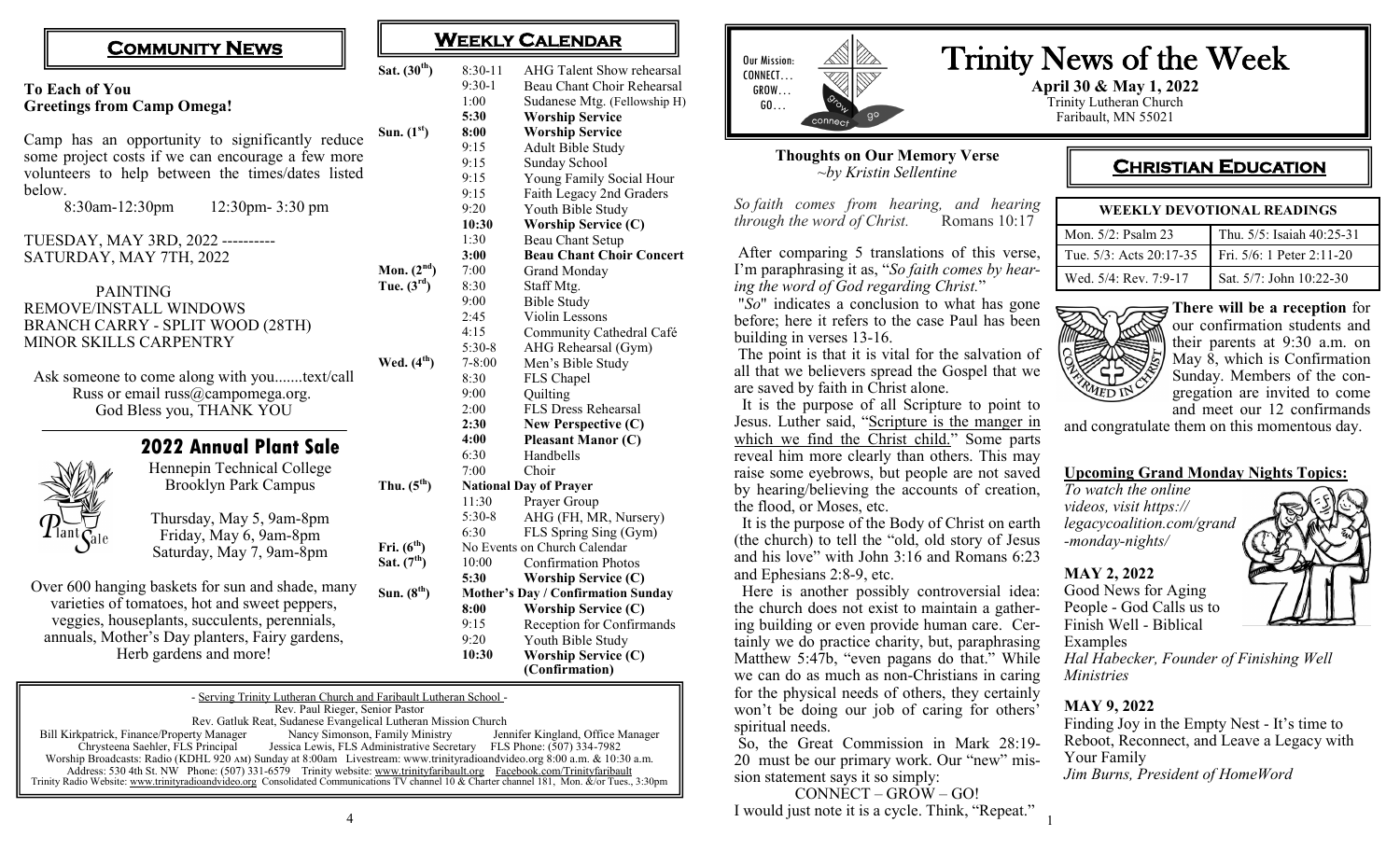|                                                 |                                                   | Sat. $(30th)$   |
|-------------------------------------------------|---------------------------------------------------|-----------------|
| <b>To Each of You</b>                           |                                                   |                 |
|                                                 | <b>Greetings from Camp Omega!</b>                 |                 |
|                                                 |                                                   |                 |
| Camp has an opportunity to significantly reduce | Sun. $(1st)$                                      |                 |
|                                                 |                                                   |                 |
|                                                 | some project costs if we can encourage a few more |                 |
|                                                 | volunteers to help between the times/dates listed |                 |
| below.                                          |                                                   |                 |
| 8:30am-12:30pm                                  | 12:30pm-3:30 pm                                   |                 |
|                                                 | TUESDAY, MAY 3RD, 2022 ----------                 |                 |
|                                                 | SATURDAY, MAY 7TH, 2022                           |                 |
|                                                 |                                                   | Mon. $(2nd)$    |
| <b>PAINTING</b>                                 | Tue. $(3^{rd})$                                   |                 |
| <b>REMOVE/INSTALL WINDOWS</b>                   |                                                   |                 |
|                                                 | <b>BRANCH CARRY - SPLIT WOOD (28TH)</b>           |                 |
|                                                 |                                                   |                 |
|                                                 | MINOR SKILLS CARPENTRY                            |                 |
|                                                 | Wed. $(4th)$                                      |                 |
|                                                 | Ask someone to come along with youtext/call       |                 |
|                                                 | Russ or email russ@campomega.org.                 |                 |
|                                                 | God Bless you, THANK YOU                          |                 |
|                                                 |                                                   |                 |
|                                                 | <b>2022 Annual Plant Sale</b>                     |                 |
|                                                 | Hennepin Technical College                        |                 |
|                                                 | <b>Brooklyn Park Campus</b>                       | Thu. $(5^{th})$ |
|                                                 |                                                   |                 |
|                                                 | Thursday, May 5, 9am-8pm                          |                 |
| $\frac{1}{2}$ lant $\zeta$<br><b>S</b> ale      | Friday, May 6, 9am-8pm                            |                 |
|                                                 | Saturday, May 7, 9am-8pm                          | Fri. $(6th)$    |
|                                                 |                                                   | Sat. $(7th)$    |
|                                                 | Over 600 hanging baskets for sun and shade, many  |                 |
|                                                 | Sun. $(8th)$                                      |                 |
|                                                 | varieties of tomatoes, hot and sweet peppers,     |                 |
|                                                 | veggies, houseplants, succulents, perennials,     |                 |
|                                                 | annuals, Mother's Day planters, Fairy gardens,    |                 |

Herb gardens and more!

# **COMMUNITY NEWS**  $\begin{array}{|c|c|c|c|c|}\n\hline\n&\mathbf{\text{M}EEKLY CALENDAR}\n\end{array}$

| Sat. (30 <sup>th</sup> ) | $8:30-11$                    | <b>AHG Talent Show rehearsal</b>   |  |  |
|--------------------------|------------------------------|------------------------------------|--|--|
|                          | $9:30-1$                     | Beau Chant Choir Rehearsal         |  |  |
|                          | 1:00                         | Sudanese Mtg. (Fellowship H)       |  |  |
|                          | 5:30                         | <b>Worship Service</b>             |  |  |
| Sun. $(1st)$             | 8:00                         | <b>Worship Service</b>             |  |  |
|                          | 9:15                         | Adult Bible Study                  |  |  |
|                          | 9:15                         | Sunday School                      |  |  |
|                          | 9:15                         | Young Family Social Hour           |  |  |
|                          | 9:15                         | Faith Legacy 2nd Graders           |  |  |
|                          | 9:20                         | Youth Bible Study                  |  |  |
|                          | 10:30                        | <b>Worship Service (C)</b>         |  |  |
|                          | 1:30                         | Beau Chant Setup                   |  |  |
|                          | 3:00                         | <b>Beau Chant Choir Concert</b>    |  |  |
| Mon. $(2nd)$             | 7:00                         | <b>Grand Monday</b>                |  |  |
| Tue. $(3rd)$             | 8:30                         | Staff Mtg.                         |  |  |
|                          | 9:00                         | <b>Bible Study</b>                 |  |  |
|                          | 2:45                         | Violin Lessons                     |  |  |
|                          | 4:15                         | Community Cathedral Café           |  |  |
|                          | $5:30-8$                     | AHG Rehearsal (Gym)                |  |  |
| Wed. (4 <sup>th</sup> )  | $7 - 8:00$                   | Men's Bible Study                  |  |  |
|                          | 8:30                         | FLS Chapel                         |  |  |
|                          | 9:00                         | Quilting                           |  |  |
|                          | 2:00                         | FLS Dress Rehearsal                |  |  |
|                          | 2:30                         | New Perspective (C)                |  |  |
|                          | 4:00                         | <b>Pleasant Manor (C)</b>          |  |  |
|                          | 6:30                         | Handbells                          |  |  |
|                          | 7:00                         | Choir                              |  |  |
| Thu. $(5^{th})$          |                              | <b>National Day of Prayer</b>      |  |  |
|                          | 11:30                        | Prayer Group                       |  |  |
|                          | $5:30-8$                     | AHG (FH, MR, Nursery)              |  |  |
|                          | 6:30                         | FLS Spring Sing (Gym)              |  |  |
| Fri. (6 <sup>th</sup> )  | No Events on Church Calendar |                                    |  |  |
| Sat. $(7th)$             | 10:00                        | <b>Confirmation Photos</b>         |  |  |
|                          | 5:30                         | <b>Worship Service (C)</b>         |  |  |
| Sun. (8 <sup>th</sup> )  |                              | Mother's Day / Confirmation Sunday |  |  |
|                          | 8:00                         | <b>Worship Service (C)</b>         |  |  |
|                          | 9:15                         | Reception for Confirmands          |  |  |
|                          | 9:20                         | Youth Bible Study                  |  |  |
|                          | 10:30                        | <b>Worship Service (C)</b>         |  |  |
|                          |                              | (Confirmation)                     |  |  |

|                                                                                                                          | - Serving Trinity Lutheran Church and Faribault Lutheran School -                                                                            |                                   |  |  |  |
|--------------------------------------------------------------------------------------------------------------------------|----------------------------------------------------------------------------------------------------------------------------------------------|-----------------------------------|--|--|--|
| Rev. Paul Rieger, Senior Pastor                                                                                          |                                                                                                                                              |                                   |  |  |  |
| Rev. Gatluk Reat, Sudanese Evangelical Lutheran Mission Church                                                           |                                                                                                                                              |                                   |  |  |  |
| Bill Kirkpatrick, Finance/Property Manager                                                                               | Nancy Simonson, Family Ministry                                                                                                              | Jennifer Kingland, Office Manager |  |  |  |
| Chrysteena Saehler, FLS Principal                                                                                        | Jessica Lewis, FLS Administrative Secretary FLS Phone: (507) 334-7982                                                                        |                                   |  |  |  |
| Worship Broadcasts: Radio (KDHL 920 AM) Sunday at 8:00am Livestream: www.trinityradioandvideo.org 8:00 a.m. & 10:30 a.m. |                                                                                                                                              |                                   |  |  |  |
|                                                                                                                          | Address: 530 4th St. NW Phone: (507) 331-6579 Trinity website: www.trinityfaribault.org Facebook.com/Trinityfaribault                        |                                   |  |  |  |
|                                                                                                                          | Trinity Radio Website: www.trinityradioandvideo.org Consolidated Communications TV channel 10 & Charter channel 181, Mon. &/or Tues., 3:30pm |                                   |  |  |  |
|                                                                                                                          |                                                                                                                                              |                                   |  |  |  |



#### **Thoughts on Our Memory Verse** *~by Kristin Sellentine*

*So faith comes from hearing, and hearing through the word of Christ.* 

After comparing 5 translations of this verse, I'm paraphrasing it as, "*So faith comes by hearing the word of God regarding Christ.*"

"*So*" indicates a conclusion to what has gone before; here it refers to the case Paul has been building in verses 13-16.

The point is that it is vital for the salvation of all that we believers spread the Gospel that we are saved by faith in Christ alone.

 It is the purpose of all Scripture to point to Jesus. Luther said, "Scripture is the manger in [which we find the Christ child."](https://www.azquotes.com/quote/1227966) Some parts reveal him more clearly than others. This may raise some eyebrows, but people are not saved by hearing/believing the accounts of creation, the flood, or Moses, etc.

 It is the purpose of the Body of Christ on earth (the church) to tell the "old, old story of Jesus and his love" with John 3:16 and Romans 6:23 and Ephesians 2:8-9, etc.

 Here is another possibly controversial idea: the church does not exist to maintain a gathering building or even provide human care. Certainly we do practice charity, but, paraphrasing Matthew 5:47b, "even pagans do that." While we can do as much as non-Christians in caring for the physical needs of others, they certainly won't be doing our job of caring for others' spiritual needs.

So, the Great Commission in Mark 28:19- 20 must be our primary work. Our "new" mission statement says it so simply:

CONNECT – GROW – GO! I would just note it is a cycle. Think, "Repeat."

# Trinity News of the Week

**April 30 & May 1, 2022** Trinity Lutheran Church Faribault, MN 55021

# **CHRISTIAN EDUCATION**

| WEEKLY DEVOTIONAL READINGS |                           |  |  |  |
|----------------------------|---------------------------|--|--|--|
| Mon. 5/2: Psalm 23         | Thu. 5/5: Isaiah 40:25-31 |  |  |  |
| Tue. 5/3: Acts 20:17-35    | Fri. 5/6: 1 Peter 2:11-20 |  |  |  |
| Wed. 5/4: Rev. 7:9-17      | Sat. 5/7: John 10:22-30   |  |  |  |



**There will be a reception** for our confirmation students and their parents at 9:30 a.m. on May  $\bar{\delta}$ , which is Confirmation Sunday. Members of the congregation are invited to come and meet our 12 confirmands

and congratulate them on this momentous day.

#### **Upcoming Grand Monday Nights Topics:**

*To watch the online videos, visit https:// legacycoalition.com/grand -monday-nights/*

#### **MAY 2, 2022**

Good News for Aging People - God Calls us to Finish Well - Biblical Examples

*Hal Habecker, Founder of Finishing Well Ministries*

#### **MAY 9, 2022**

Finding Joy in the Empty Nest - It's time to Reboot, Reconnect, and Leave a Legacy with Your Family *Jim Burns, President of HomeWord*



1